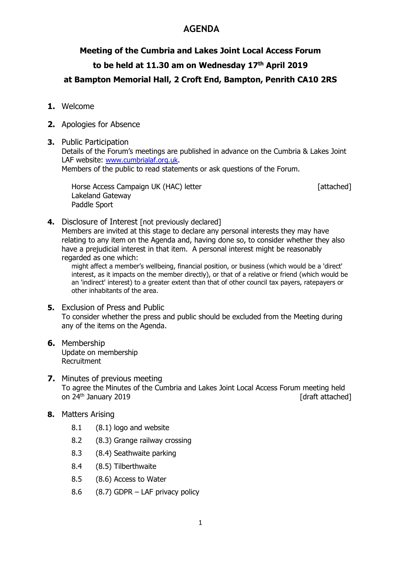### AGENDA

# Meeting of the Cumbria and Lakes Joint Local Access Forum to be held at 11.30 am on Wednesday 17th April 2019 at Bampton Memorial Hall, 2 Croft End, Bampton, Penrith CA10 2RS

- 1. Welcome
- 2. Apologies for Absence
- 3. Public Participation

Details of the Forum's meetings are published in advance on the Cumbria & Lakes Joint LAF website: www.cumbrialaf.org.uk.

Members of the public to read statements or ask questions of the Forum.

Horse Access Campaign UK (HAC) letter **Example 20** [attached] Lakeland Gateway Paddle Sport

4. Disclosure of Interest [not previously declared]

Members are invited at this stage to declare any personal interests they may have relating to any item on the Agenda and, having done so, to consider whether they also have a prejudicial interest in that item. A personal interest might be reasonably regarded as one which:

might affect a member's wellbeing, financial position, or business (which would be a 'direct' interest, as it impacts on the member directly), or that of a relative or friend (which would be an 'indirect' interest) to a greater extent than that of other council tax payers, ratepayers or other inhabitants of the area.

- **5.** Exclusion of Press and Public To consider whether the press and public should be excluded from the Meeting during any of the items on the Agenda.
- 6. Membership Update on membership Recruitment
- 7. Minutes of previous meeting To agree the Minutes of the Cumbria and Lakes Joint Local Access Forum meeting held on 24<sup>th</sup> January 2019 **and 2019 and 2019 and 2019 and 2019 and 2019 and 2019 and 2019 and 2019 and 2019**
- 8. Matters Arising
	- 8.1 (8.1) logo and website
	- 8.2 (8.3) Grange railway crossing
	- 8.3 (8.4) Seathwaite parking
	- 8.4 (8.5) Tilberthwaite
	- 8.5 (8.6) Access to Water
	- 8.6 (8.7) GDPR LAF privacy policy